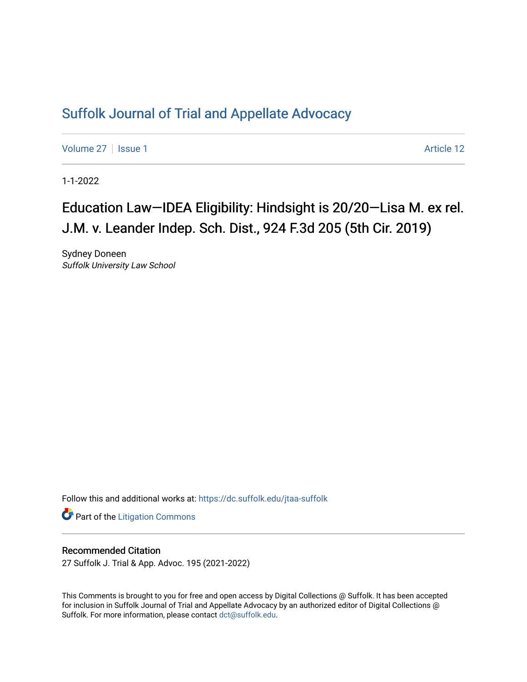## [Suffolk Journal of Trial and Appellate Advocacy](https://dc.suffolk.edu/jtaa-suffolk)

[Volume 27](https://dc.suffolk.edu/jtaa-suffolk/vol27) | [Issue 1](https://dc.suffolk.edu/jtaa-suffolk/vol27/iss1) Article 12

1-1-2022

# Education Law—IDEA Eligibility: Hindsight is 20/20—Lisa M. ex rel. J.M. v. Leander Indep. Sch. Dist., 924 F.3d 205 (5th Cir. 2019)

Sydney Doneen Suffolk University Law School

Follow this and additional works at: [https://dc.suffolk.edu/jtaa-suffolk](https://dc.suffolk.edu/jtaa-suffolk?utm_source=dc.suffolk.edu%2Fjtaa-suffolk%2Fvol27%2Fiss1%2F12&utm_medium=PDF&utm_campaign=PDFCoverPages) 

**Part of the [Litigation Commons](https://network.bepress.com/hgg/discipline/910?utm_source=dc.suffolk.edu%2Fjtaa-suffolk%2Fvol27%2Fiss1%2F12&utm_medium=PDF&utm_campaign=PDFCoverPages)** 

### Recommended Citation

27 Suffolk J. Trial & App. Advoc. 195 (2021-2022)

This Comments is brought to you for free and open access by Digital Collections @ Suffolk. It has been accepted for inclusion in Suffolk Journal of Trial and Appellate Advocacy by an authorized editor of Digital Collections @ Suffolk. For more information, please contact [dct@suffolk.edu.](mailto:dct@suffolk.edu)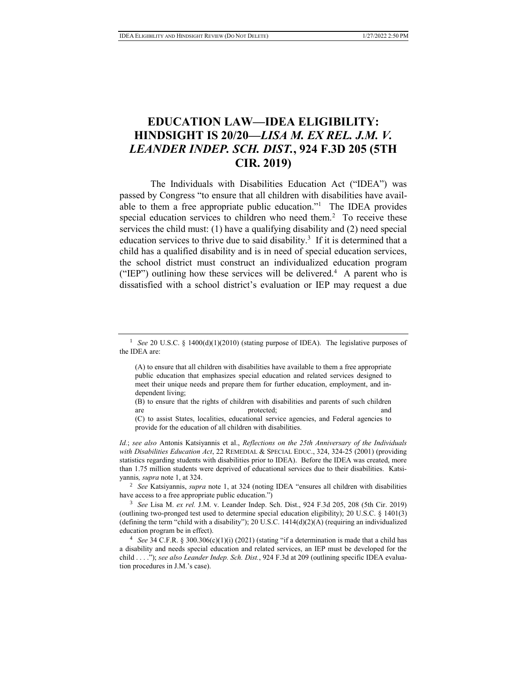## **EDUCATION LAW—IDEA ELIGIBILITY: HINDSIGHT IS 20/20—***LISA M. EX REL. J.M. V. LEANDER INDEP. SCH. DIST.***, 924 F.3D 205 (5TH CIR. 2019)**

The Individuals with Disabilities Education Act ("IDEA") was passed by Congress "to ensure that all children with disabilities have available to them a free appropriate public education."<sup>1</sup> The IDEA provides special education services to children who need them.<sup>2</sup> To receive these services the child must: (1) have a qualifying disability and (2) need special education services to thrive due to said disability.<sup>3</sup> If it is determined that a child has a qualified disability and is in need of special education services, the school district must construct an individualized education program ("IEP") outlining how these services will be delivered.<sup>4</sup> A parent who is dissatisfied with a school district's evaluation or IEP may request a due

(B) to ensure that the rights of children with disabilities and parents of such children are protected; and protected; and protected; and  $\alpha$ 

*Id.*; *see also* Antonis Katsiyannis et al., *Reflections on the 25th Anniversary of the Individuals with Disabilities Education Act*, 22 REMEDIAL & SPECIAL EDUC., 324, 324-25 (2001) (providing statistics regarding students with disabilities prior to IDEA). Before the IDEA was created, more than 1.75 million students were deprived of educational services due to their disabilities. Katsiyannis*, supra* note 1, at 324.

<sup>2</sup> *See* Katsiyannis, *supra* note 1, at 324 (noting IDEA "ensures all children with disabilities have access to a free appropriate public education.")

<sup>3</sup> *See* Lisa M. *ex rel.* J.M. v. Leander Indep. Sch. Dist., 924 F.3d 205, 208 (5th Cir. 2019) (outlining two-pronged test used to determine special education eligibility); 20 U.S.C. § 1401(3) (defining the term "child with a disability"); 20 U.S.C. 1414(d)(2)(A) (requiring an individualized education program be in effect).

<sup>4</sup> *See* 34 C.F.R. § 300.306(c)(1)(i) (2021) (stating "if a determination is made that a child has a disability and needs special education and related services, an IEP must be developed for the child . . . ."); *see also Leander Indep. Sch. Dist.*, 924 F.3d at 209 (outlining specific IDEA evaluation procedures in J.M.'s case).

<sup>&</sup>lt;sup>1</sup> *See* 20 U.S.C. § 1400(d)(1)(2010) (stating purpose of IDEA). The legislative purposes of the IDEA are:

<sup>(</sup>A) to ensure that all children with disabilities have available to them a free appropriate public education that emphasizes special education and related services designed to meet their unique needs and prepare them for further education, employment, and independent living;

<sup>(</sup>C) to assist States, localities, educational service agencies, and Federal agencies to provide for the education of all children with disabilities.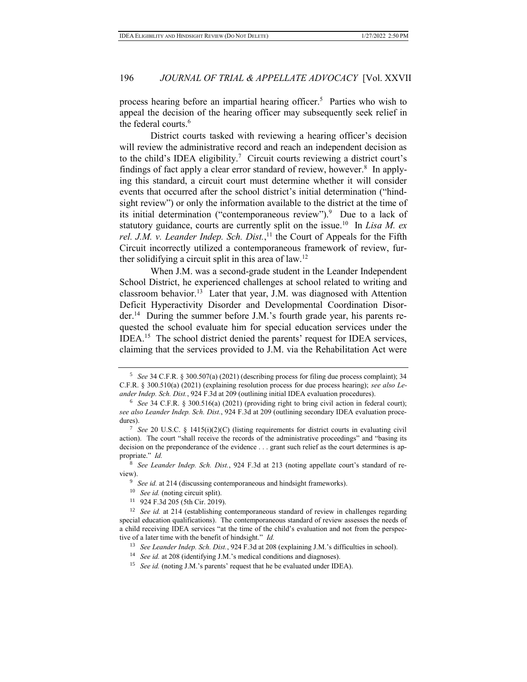process hearing before an impartial hearing officer.<sup>5</sup> Parties who wish to appeal the decision of the hearing officer may subsequently seek relief in the federal courts.<sup>6</sup>

District courts tasked with reviewing a hearing officer's decision will review the administrative record and reach an independent decision as to the child's IDEA eligibility.<sup>7</sup> Circuit courts reviewing a district court's findings of fact apply a clear error standard of review, however.<sup>8</sup> In applying this standard, a circuit court must determine whether it will consider events that occurred after the school district's initial determination ("hindsight review") or only the information available to the district at the time of its initial determination ("contemporaneous review").<sup>9</sup> Due to a lack of statutory guidance, courts are currently split on the issue.<sup>10</sup> In *Lisa M. ex* rel. *J.M. v. Leander Indep. Sch. Dist.*,<sup>11</sup> the Court of Appeals for the Fifth Circuit incorrectly utilized a contemporaneous framework of review, further solidifying a circuit split in this area of law.<sup>12</sup>

When J.M. was a second-grade student in the Leander Independent School District, he experienced challenges at school related to writing and classroom behavior.<sup>13</sup> Later that year, J.M. was diagnosed with Attention Deficit Hyperactivity Disorder and Developmental Coordination Disorder.<sup>14</sup> During the summer before J.M.'s fourth grade year, his parents requested the school evaluate him for special education services under the IDEA.<sup>15</sup> The school district denied the parents' request for IDEA services, claiming that the services provided to J.M. via the Rehabilitation Act were

<sup>15</sup> *See id.* (noting J.M.'s parents' request that he be evaluated under IDEA).

<sup>5</sup> *See* 34 C.F.R. § 300.507(a) (2021) (describing process for filing due process complaint); 34 C.F.R. § 300.510(a) (2021) (explaining resolution process for due process hearing); *see also Leander Indep. Sch. Dist.*, 924 F.3d at 209 (outlining initial IDEA evaluation procedures).

<sup>6</sup> *See* 34 C.F.R. § 300.516(a) (2021) (providing right to bring civil action in federal court); *see also Leander Indep. Sch. Dist.*, 924 F.3d at 209 (outlining secondary IDEA evaluation procedures).

<sup>7</sup> *See* 20 U.S.C. § 1415(i)(2)(C) (listing requirements for district courts in evaluating civil action). The court "shall receive the records of the administrative proceedings" and "basing its decision on the preponderance of the evidence . . . grant such relief as the court determines is appropriate." *Id.*

<sup>8</sup> *See Leander Indep. Sch. Dist.*, 924 F.3d at 213 (noting appellate court's standard of review).

<sup>&</sup>lt;sup>9</sup> *See id.* at 214 (discussing contemporaneous and hindsight frameworks).

<sup>&</sup>lt;sup>10</sup> *See id.* (noting circuit split).

<sup>11</sup> 924 F.3d 205 (5th Cir. 2019).

<sup>&</sup>lt;sup>12</sup> *See id.* at 214 (establishing contemporaneous standard of review in challenges regarding special education qualifications). The contemporaneous standard of review assesses the needs of a child receiving IDEA services "at the time of the child's evaluation and not from the perspective of a later time with the benefit of hindsight." *Id.*

<sup>13</sup> *See Leander Indep. Sch. Dist.*, 924 F.3d at 208 (explaining J.M.'s difficulties in school).

<sup>&</sup>lt;sup>14</sup> *See id.* at 208 (identifying J.M.'s medical conditions and diagnoses).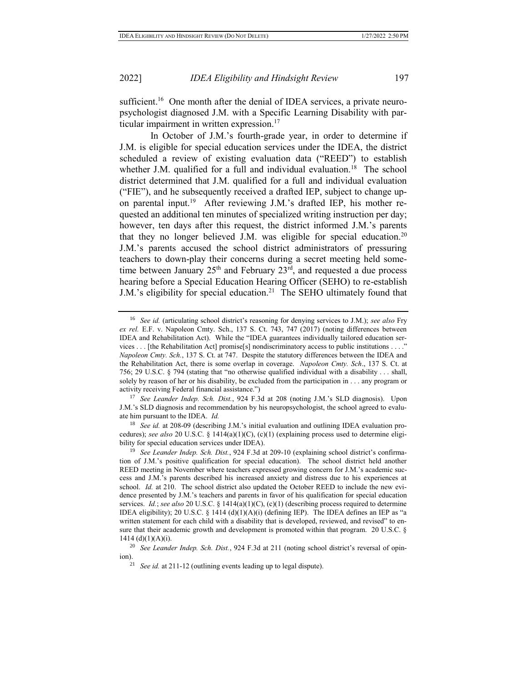sufficient.<sup>16</sup> One month after the denial of IDEA services, a private neuropsychologist diagnosed J.M. with a Specific Learning Disability with particular impairment in written expression.<sup>17</sup>

In October of J.M.'s fourth-grade year, in order to determine if J.M. is eligible for special education services under the IDEA, the district scheduled a review of existing evaluation data ("REED") to establish whether J.M. qualified for a full and individual evaluation.<sup>18</sup> The school district determined that J.M. qualified for a full and individual evaluation ("FIE"), and he subsequently received a drafted IEP, subject to change upon parental input.<sup>19</sup> After reviewing J.M.'s drafted IEP, his mother requested an additional ten minutes of specialized writing instruction per day; however, ten days after this request, the district informed J.M.'s parents that they no longer believed J.M. was eligible for special education.<sup>20</sup> J.M.'s parents accused the school district administrators of pressuring teachers to down-play their concerns during a secret meeting held sometime between January  $25<sup>th</sup>$  and February  $23<sup>rd</sup>$ , and requested a due process hearing before a Special Education Hearing Officer (SEHO) to re-establish J.M.'s eligibility for special education.<sup>21</sup> The SEHO ultimately found that

<sup>18</sup> *See id.* at 208-09 (describing J.M.'s initial evaluation and outlining IDEA evaluation procedures); see also 20 U.S.C. § 1414(a)(1)(C), (c)(1) (explaining process used to determine eligibility for special education services under IDEA).

<sup>16</sup> *See id.* (articulating school district's reasoning for denying services to J.M.); *see also* Fry *ex rel.* E.F. v. Napoleon Cmty. Sch., 137 S. Ct. 743, 747 (2017) (noting differences between IDEA and Rehabilitation Act). While the "IDEA guarantees individually tailored education services . . . [the Rehabilitation Act] promise[s] nondiscriminatory access to public institutions . . . ." *Napoleon Cmty. Sch.*, 137 S. Ct. at 747. Despite the statutory differences between the IDEA and the Rehabilitation Act, there is some overlap in coverage. *Napoleon Cmty. Sch*., 137 S. Ct. at 756; 29 U.S.C. § 794 (stating that "no otherwise qualified individual with a disability . . . shall, solely by reason of her or his disability, be excluded from the participation in . . . any program or activity receiving Federal financial assistance.")

<sup>17</sup> *See Leander Indep. Sch. Dist.*, 924 F.3d at 208 (noting J.M.'s SLD diagnosis). Upon J.M.'s SLD diagnosis and recommendation by his neuropsychologist, the school agreed to evaluate him pursuant to the IDEA. *Id.*

<sup>19</sup> *See Leander Indep. Sch. Dist.*, 924 F.3d at 209-10 (explaining school district's confirmation of J.M.'s positive qualification for special education). The school district held another REED meeting in November where teachers expressed growing concern for J.M.'s academic success and J.M.'s parents described his increased anxiety and distress due to his experiences at school. *Id.* at 210.The school district also updated the October REED to include the new evidence presented by J.M.'s teachers and parents in favor of his qualification for special education services. *Id.*; *see also* 20 U.S.C. § 1414(a)(1)(C), (c)(1) (describing process required to determine IDEA eligibility); 20 U.S.C. § 1414 (d)(1)(A)(i) (defining IEP). The IDEA defines an IEP as "a written statement for each child with a disability that is developed, reviewed, and revised" to ensure that their academic growth and development is promoted within that program. 20 U.S.C. § 1414 (d) $(1)(A)(i)$ .

<sup>20</sup> *See Leander Indep. Sch. Dist.*, 924 F.3d at 211 (noting school district's reversal of opinion).

<sup>21</sup> *See id.* at 211-12 (outlining events leading up to legal dispute).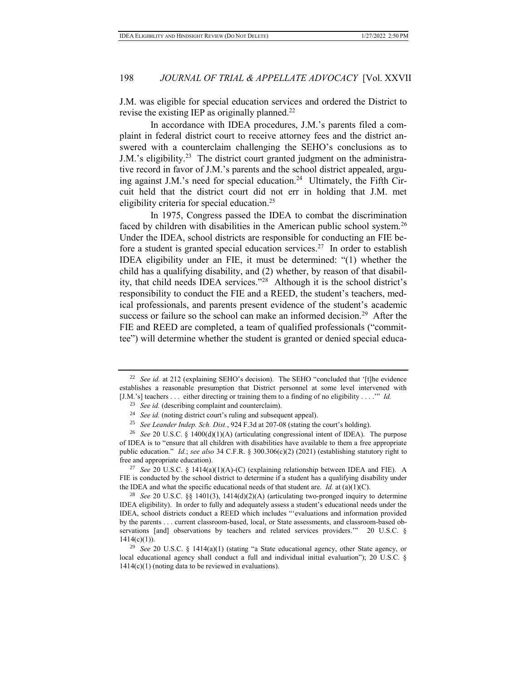J.M. was eligible for special education services and ordered the District to revise the existing IEP as originally planned.<sup>22</sup>

In accordance with IDEA procedures, J.M.'s parents filed a complaint in federal district court to receive attorney fees and the district answered with a counterclaim challenging the SEHO's conclusions as to J.M.'s eligibility.<sup>23</sup> The district court granted judgment on the administrative record in favor of J.M.'s parents and the school district appealed, arguing against J.M.'s need for special education.<sup>24</sup> Ultimately, the Fifth Circuit held that the district court did not err in holding that J.M. met eligibility criteria for special education.<sup>25</sup>

In 1975, Congress passed the IDEA to combat the discrimination faced by children with disabilities in the American public school system.<sup>26</sup> Under the IDEA, school districts are responsible for conducting an FIE before a student is granted special education services.<sup>27</sup> In order to establish IDEA eligibility under an FIE, it must be determined: "(1) whether the child has a qualifying disability, and (2) whether, by reason of that disability, that child needs IDEA services."<sup>28</sup> Although it is the school district's responsibility to conduct the FIE and a REED, the student's teachers, medical professionals, and parents present evidence of the student's academic success or failure so the school can make an informed decision.<sup>29</sup> After the FIE and REED are completed, a team of qualified professionals ("committee") will determine whether the student is granted or denied special educa-

<sup>&</sup>lt;sup>22</sup> *See id.* at 212 (explaining SEHO's decision). The SEHO "concluded that '[t]he evidence establishes a reasonable presumption that District personnel at some level intervened with [J.M.'s] teachers . . . either directing or training them to a finding of no eligibility . . . .'" *Id.*

<sup>&</sup>lt;sup>23</sup> *See id.* (describing complaint and counterclaim).

<sup>&</sup>lt;sup>24</sup> *See id.* (noting district court's ruling and subsequent appeal).

<sup>25</sup> *See Leander Indep. Sch. Dist.*, 924 F.3d at 207-08 (stating the court's holding).

<sup>26</sup> *See* 20 U.S.C. § 1400(d)(1)(A) (articulating congressional intent of IDEA). The purpose of IDEA is to "ensure that all children with disabilities have available to them a free appropriate public education." *Id.*; *see also* 34 C.F.R. § 300.306(c)(2) (2021) (establishing statutory right to free and appropriate education).

<sup>&</sup>lt;sup>27</sup> *See* 20 U.S.C. § 1414(a)(1)(A)-(C) (explaining relationship between IDEA and FIE). A FIE is conducted by the school district to determine if a student has a qualifying disability under the IDEA and what the specific educational needs of that student are. *Id.* at  $(a)(1)(C)$ .

<sup>28</sup> *See* 20 U.S.C. §§ 1401(3), 1414(d)(2)(A) (articulating two-pronged inquiry to determine IDEA eligibility). In order to fully and adequately assess a student's educational needs under the IDEA, school districts conduct a REED which includes "'evaluations and information provided by the parents . . . current classroom-based, local, or State assessments, and classroom-based observations [and] observations by teachers and related services providers.'" 20 U.S.C. §  $1414(c)(1)$ ).

<sup>29</sup> *See* 20 U.S.C. § 1414(a)(1) (stating "a State educational agency, other State agency, or local educational agency shall conduct a full and individual initial evaluation"); 20 U.S.C. §  $1414(c)(1)$  (noting data to be reviewed in evaluations).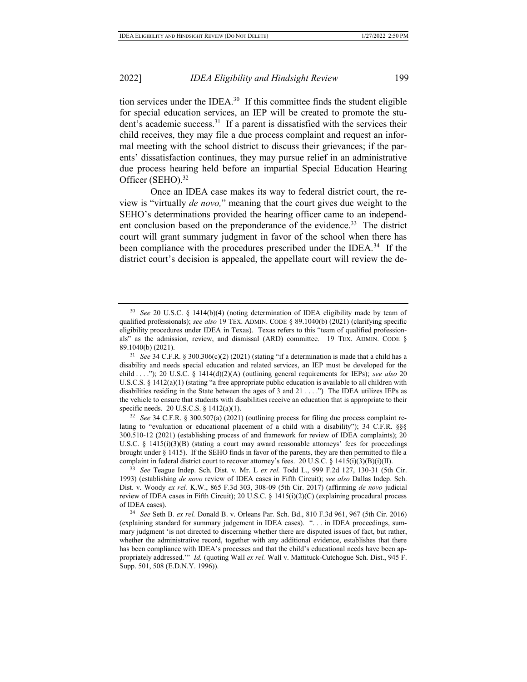tion services under the IDEA. $30$  If this committee finds the student eligible for special education services, an IEP will be created to promote the student's academic success.<sup>31</sup> If a parent is dissatisfied with the services their child receives, they may file a due process complaint and request an informal meeting with the school district to discuss their grievances; if the parents' dissatisfaction continues, they may pursue relief in an administrative due process hearing held before an impartial Special Education Hearing Officer (SEHO).<sup>32</sup>

Once an IDEA case makes its way to federal district court, the review is "virtually *de novo,*" meaning that the court gives due weight to the SEHO's determinations provided the hearing officer came to an independent conclusion based on the preponderance of the evidence.<sup>33</sup> The district court will grant summary judgment in favor of the school when there has been compliance with the procedures prescribed under the IDEA.<sup>34</sup> If the district court's decision is appealed, the appellate court will review the de-

<sup>30</sup> *See* 20 U.S.C. § 1414(b)(4) (noting determination of IDEA eligibility made by team of qualified professionals); *see also* 19 TEX. ADMIN. CODE § 89.1040(b) (2021) (clarifying specific eligibility procedures under IDEA in Texas). Texas refers to this "team of qualified professionals" as the admission, review, and dismissal (ARD) committee. 19 TEX. ADMIN. CODE § 89.1040(b) (2021).

<sup>&</sup>lt;sup>31</sup> *See* 34 C.F.R. § 300.306(c)(2) (2021) (stating "if a determination is made that a child has a disability and needs special education and related services, an IEP must be developed for the child . . . ."); 20 U.S.C. § 1414(d)(2)(A) (outlining general requirements for IEPs); *see also* 20 U.S.C.S. § 1412(a)(1) (stating "a free appropriate public education is available to all children with disabilities residing in the State between the ages of 3 and 21 . . . .") The IDEA utilizes IEPs as the vehicle to ensure that students with disabilities receive an education that is appropriate to their specific needs. 20 U.S.C.S. § 1412(a)(1).

<sup>32</sup> *See* 34 C.F.R. § 300.507(a) (2021) (outlining process for filing due process complaint relating to "evaluation or educational placement of a child with a disability"); 34 C.F.R. §§§ 300.510-12 (2021) (establishing process of and framework for review of IDEA complaints); 20 U.S.C. § 1415(i)(3)(B) (stating a court may award reasonable attorneys' fees for proceedings brought under § 1415). If the SEHO finds in favor of the parents, they are then permitted to file a complaint in federal district court to recover attorney's fees. 20 U.S.C. § 1415(i)(3)(B)(i)(II).

<sup>33</sup> *See* Teague Indep. Sch. Dist. v. Mr. L *ex rel.* Todd L., 999 F.2d 127, 130-31 (5th Cir. 1993) (establishing *de novo* review of IDEA cases in Fifth Circuit); *see also* Dallas Indep. Sch. Dist. v. Woody *ex rel.* K.W., 865 F.3d 303, 308-09 (5th Cir. 2017) (affirming *de novo* judicial review of IDEA cases in Fifth Circuit); 20 U.S.C. § 1415(i)(2)(C) (explaining procedural process of IDEA cases).

<sup>34</sup> *See* Seth B. *ex rel.* Donald B. v. Orleans Par. Sch. Bd., 810 F.3d 961, 967 (5th Cir. 2016) (explaining standard for summary judgement in IDEA cases). ". . . in IDEA proceedings, summary judgment 'is not directed to discerning whether there are disputed issues of fact, but rather, whether the administrative record, together with any additional evidence, establishes that there has been compliance with IDEA's processes and that the child's educational needs have been appropriately addressed.'" *Id.* (quoting Wall *ex rel.* Wall v. Mattituck-Cutchogue Sch. Dist., 945 F. Supp. 501, 508 (E.D.N.Y. 1996)).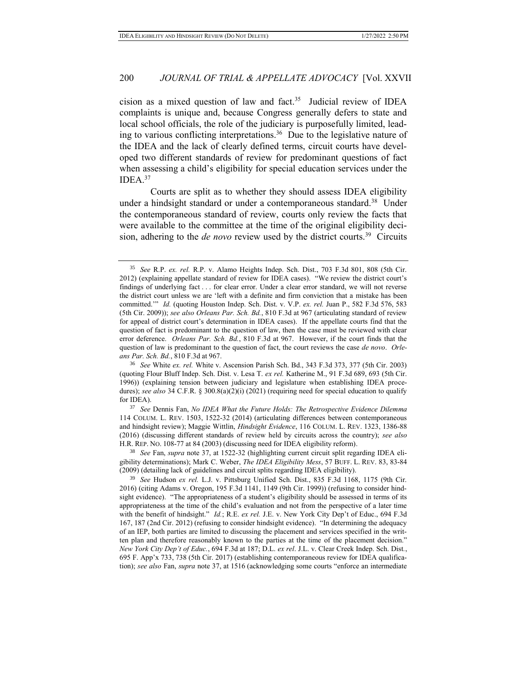cision as a mixed question of law and fact. $35$  Judicial review of IDEA complaints is unique and, because Congress generally defers to state and local school officials, the role of the judiciary is purposefully limited, leading to various conflicting interpretations.<sup>36</sup> Due to the legislative nature of the IDEA and the lack of clearly defined terms, circuit courts have developed two different standards of review for predominant questions of fact when assessing a child's eligibility for special education services under the IDEA.<sup>37</sup>

Courts are split as to whether they should assess IDEA eligibility under a hindsight standard or under a contemporaneous standard.<sup>38</sup> Under the contemporaneous standard of review, courts only review the facts that were available to the committee at the time of the original eligibility decision, adhering to the *de novo* review used by the district courts.<sup>39</sup> Circuits

<sup>35</sup> *See* R.P. *ex. rel.* R.P. v. Alamo Heights Indep. Sch. Dist., 703 F.3d 801, 808 (5th Cir. 2012) (explaining appellate standard of review for IDEA cases). "We review the district court's findings of underlying fact . . . for clear error. Under a clear error standard, we will not reverse the district court unless we are 'left with a definite and firm conviction that a mistake has been committed.'" *Id.* (quoting Houston Indep. Sch. Dist. v. V.P. *ex. rel.* Juan P., 582 F.3d 576, 583 (5th Cir. 2009)); *see also Orleans Par. Sch. Bd.*, 810 F.3d at 967 (articulating standard of review for appeal of district court's determination in IDEA cases). If the appellate courts find that the question of fact is predominant to the question of law, then the case must be reviewed with clear error deference. *Orleans Par. Sch. Bd.*, 810 F.3d at 967. However, if the court finds that the question of law is predominant to the question of fact, the court reviews the case *de novo*. *Orleans Par. Sch. Bd.*, 810 F.3d at 967.

<sup>36</sup> *See* White *ex. rel.* White v. Ascension Parish Sch. Bd., 343 F.3d 373, 377 (5th Cir. 2003) (quoting Flour Bluff Indep. Sch. Dist. v. Lesa T. *ex rel.* Katherine M., 91 F.3d 689, 693 (5th Cir. 1996)) (explaining tension between judiciary and legislature when establishing IDEA procedures); *see also* 34 C.F.R. § 300.8(a)(2)(i) (2021) (requiring need for special education to qualify for IDEA).

<sup>37</sup> *See* Dennis Fan, *No IDEA What the Future Holds: The Retrospective Evidence Dilemma* 114 COLUM. L. REV. 1503, 1522-32 (2014) (articulating differences between contemporaneous and hindsight review); Maggie Wittlin, *Hindsight Evidence*, 116 COLUM. L. REV. 1323, 1386-88 (2016) (discussing different standards of review held by circuits across the country); *see also*  H.R. REP. NO. 108-77 at 84 (2003) (discussing need for IDEA eligibility reform).

<sup>38</sup> *See* Fan, *supra* note 37, at 1522-32 (highlighting current circuit split regarding IDEA eligibility determinations); Mark C. Weber, *The IDEA Eligibility Mess*, 57 BUFF. L. REV. 83, 83-84 (2009) (detailing lack of guidelines and circuit splits regarding IDEA eligibility).

<sup>39</sup> *See* Hudson *ex rel.* L.J. v. Pittsburg Unified Sch. Dist., 835 F.3d 1168, 1175 (9th Cir. 2016) (citing Adams v. Oregon, 195 F.3d 1141, 1149 (9th Cir. 1999)) (refusing to consider hindsight evidence). "The appropriateness of a student's eligibility should be assessed in terms of its appropriateness at the time of the child's evaluation and not from the perspective of a later time with the benefit of hindsight." *Id.*; R.E. *ex rel.* J.E. v. New York City Dep't of Educ., 694 F.3d 167, 187 (2nd Cir. 2012) (refusing to consider hindsight evidence). "In determining the adequacy of an IEP, both parties are limited to discussing the placement and services specified in the written plan and therefore reasonably known to the parties at the time of the placement decision." *New York City Dep't of Educ.*, 694 F.3d at 187; D.L. *ex rel*. J.L. v. Clear Creek Indep. Sch. Dist*.*, 695 F. App'x 733, 738 (5th Cir. 2017) (establishing contemporaneous review for IDEA qualification); *see also* Fan, *supra* note 37, at 1516 (acknowledging some courts "enforce an intermediate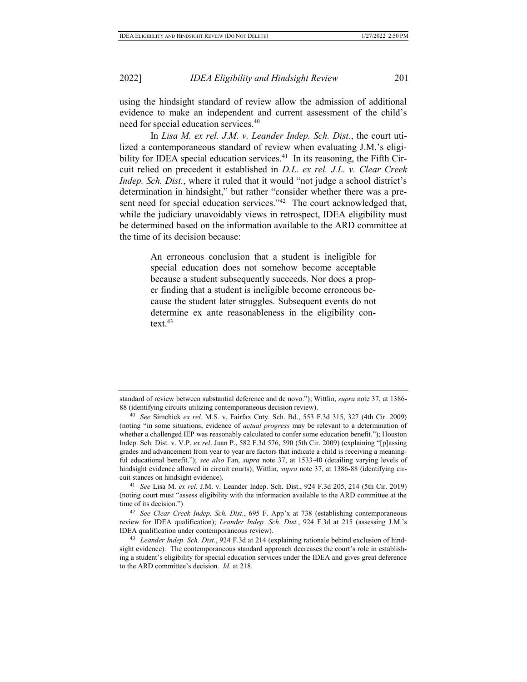using the hindsight standard of review allow the admission of additional evidence to make an independent and current assessment of the child's need for special education services.<sup>40</sup>

In *Lisa M. ex rel. J.M. v. Leander Indep. Sch. Dist.*, the court utilized a contemporaneous standard of review when evaluating J.M.'s eligibility for IDEA special education services. $41$  In its reasoning, the Fifth Circuit relied on precedent it established in *D.L. ex rel. J.L. v. Clear Creek Indep. Sch. Dist.*, where it ruled that it would "not judge a school district's determination in hindsight," but rather "consider whether there was a present need for special education services."<sup>42</sup> The court acknowledged that, while the judiciary unavoidably views in retrospect, IDEA eligibility must be determined based on the information available to the ARD committee at the time of its decision because:

> An erroneous conclusion that a student is ineligible for special education does not somehow become acceptable because a student subsequently succeeds. Nor does a proper finding that a student is ineligible become erroneous because the student later struggles. Subsequent events do not determine ex ante reasonableness in the eligibility context. $43$

standard of review between substantial deference and de novo."); Wittlin, *supra* note 37, at 1386- 88 (identifying circuits utilizing contemporaneous decision review).

<sup>40</sup> *See* Simchick *ex rel.* M.S. v. Fairfax Cnty. Sch. Bd., 553 F.3d 315, 327 (4th Cir. 2009) (noting "in some situations, evidence of *actual progress* may be relevant to a determination of whether a challenged IEP was reasonably calculated to confer some education benefit."); Houston Indep. Sch. Dist. v. V.P. *ex rel*. Juan P., 582 F.3d 576, 590 (5th Cir. 2009) (explaining "[p]assing grades and advancement from year to year are factors that indicate a child is receiving a meaningful educational benefit."); *see also* Fan, *supra* note 37, at 1533-40 (detailing varying levels of hindsight evidence allowed in circuit courts); Wittlin, *supra* note 37, at 1386-88 (identifying circuit stances on hindsight evidence).

<sup>41</sup> *See* Lisa M. *ex rel.* J.M. v. Leander Indep. Sch. Dist., 924 F.3d 205, 214 (5th Cir. 2019) (noting court must "assess eligibility with the information available to the ARD committee at the time of its decision.")

<sup>42</sup> *See Clear Creek Indep. Sch. Dist.*, 695 F. App'x at 738 (establishing contemporaneous review for IDEA qualification); *Leander Indep. Sch. Dist.*, 924 F.3d at 215 (assessing J.M.'s IDEA qualification under contemporaneous review).

<sup>43</sup> *Leander Indep. Sch. Dist.*, 924 F.3d at 214 (explaining rationale behind exclusion of hindsight evidence). The contemporaneous standard approach decreases the court's role in establishing a student's eligibility for special education services under the IDEA and gives great deference to the ARD committee's decision. *Id.* at 218.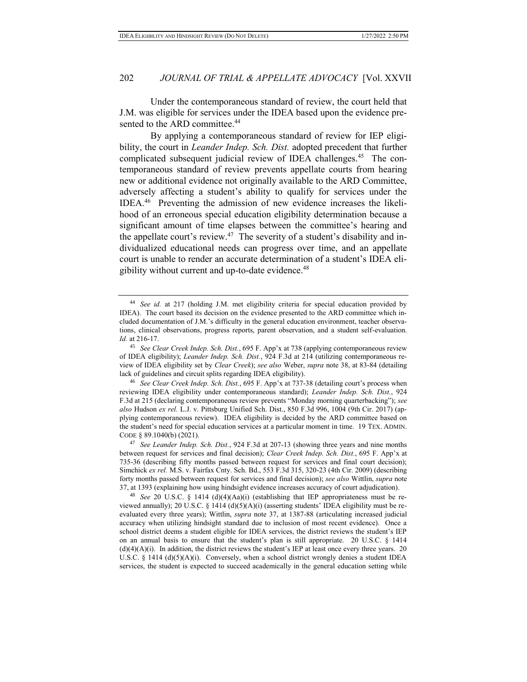Under the contemporaneous standard of review, the court held that J.M. was eligible for services under the IDEA based upon the evidence presented to the ARD committee.<sup>44</sup>

By applying a contemporaneous standard of review for IEP eligibility, the court in *Leander Indep. Sch. Dist.* adopted precedent that further complicated subsequent judicial review of IDEA challenges.<sup>45</sup> The contemporaneous standard of review prevents appellate courts from hearing new or additional evidence not originally available to the ARD Committee, adversely affecting a student's ability to qualify for services under the IDEA.<sup>46</sup> Preventing the admission of new evidence increases the likelihood of an erroneous special education eligibility determination because a significant amount of time elapses between the committee's hearing and the appellate court's review.<sup>47</sup> The severity of a student's disability and individualized educational needs can progress over time, and an appellate court is unable to render an accurate determination of a student's IDEA eligibility without current and up-to-date evidence.<sup>48</sup>

<sup>44</sup> *See id.* at 217 (holding J.M. met eligibility criteria for special education provided by IDEA). The court based its decision on the evidence presented to the ARD committee which included documentation of J.M.'s difficulty in the general education environment, teacher observations, clinical observations, progress reports, parent observation, and a student self-evaluation. *Id.* at 216-17.

<sup>45</sup> *See Clear Creek Indep. Sch. Dist.*, 695 F. App'x at 738 (applying contemporaneous review of IDEA eligibility); *Leander Indep. Sch. Dist.*, 924 F.3d at 214 (utilizing contemporaneous review of IDEA eligibility set by *Clear Creek*); *see also* Weber, *supra* note 38, at 83-84 (detailing lack of guidelines and circuit splits regarding IDEA eligibility).

<sup>46</sup> *See Clear Creek Indep. Sch. Dist.*, 695 F. App'x at 737-38 (detailing court's process when reviewing IDEA eligibility under contemporaneous standard); *Leander Indep. Sch. Dist.*, 924 F.3d at 215 (declaring contemporaneous review prevents "Monday morning quarterbacking"); *see also* Hudson *ex rel.* L.J. v. Pittsburg Unified Sch. Dist., 850 F.3d 996, 1004 (9th Cir. 2017) (applying contemporaneous review). IDEA eligibility is decided by the ARD committee based on the student's need for special education services at a particular moment in time. 19 TEX. ADMIN. CODE § 89.1040(b) (2021)*.* 

<sup>47</sup> *See Leander Indep. Sch. Dist.*, 924 F.3d at 207-13 (showing three years and nine months between request for services and final decision); *Clear Creek Indep. Sch. Dist.*, 695 F. App'x at 735-36 (describing fifty months passed between request for services and final court decision); Simchick *ex rel.* M.S. v. Fairfax Cnty. Sch. Bd., 553 F.3d 315, 320-23 (4th Cir. 2009) (describing forty months passed between request for services and final decision); *see also* Wittlin, *supra* note 37, at 1393 (explaining how using hindsight evidence increases accuracy of court adjudication).

<sup>48</sup> *See* 20 U.S.C. § 1414 (d)(4)(Aa)(i) (establishing that IEP appropriateness must be reviewed annually); 20 U.S.C. § 1414 (d)(5)(A)(i) (asserting students' IDEA eligibility must be reevaluated every three years); Wittlin, *supra* note 37, at 1387-88 (articulating increased judicial accuracy when utilizing hindsight standard due to inclusion of most recent evidence). Once a school district deems a student eligible for IDEA services, the district reviews the student's IEP on an annual basis to ensure that the student's plan is still appropriate. 20 U.S.C. § 1414  $(d)(4)(A)(i)$ . In addition, the district reviews the student's IEP at least once every three years. 20 U.S.C.  $\S$  1414 (d)(5)(A)(i). Conversely, when a school district wrongly denies a student IDEA services, the student is expected to succeed academically in the general education setting while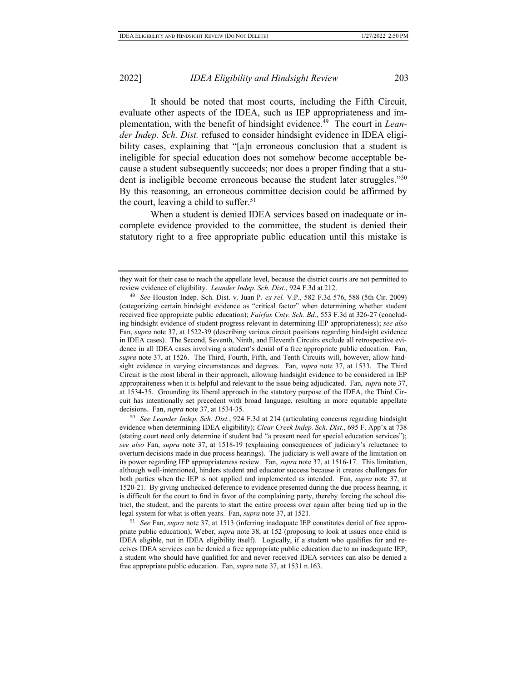It should be noted that most courts, including the Fifth Circuit, evaluate other aspects of the IDEA, such as IEP appropriateness and implementation, with the benefit of hindsight evidence.<sup>49</sup> The court in *Leander Indep. Sch. Dist.* refused to consider hindsight evidence in IDEA eligibility cases, explaining that "[a]n erroneous conclusion that a student is ineligible for special education does not somehow become acceptable because a student subsequently succeeds; nor does a proper finding that a student is ineligible become erroneous because the student later struggles."<sup>50</sup> By this reasoning, an erroneous committee decision could be affirmed by the court, leaving a child to suffer.<sup>51</sup>

When a student is denied IDEA services based on inadequate or incomplete evidence provided to the committee, the student is denied their statutory right to a free appropriate public education until this mistake is

<sup>50</sup> *See Leander Indep. Sch. Dist.*, 924 F.3d at 214 (articulating concerns regarding hindsight evidence when determining IDEA eligibility); *Clear Creek Indep. Sch. Dist.*, 695 F. App'x at 738 (stating court need only determine if student had "a present need for special education services"); *see also* Fan, *supra* note 37, at 1518-19 (explaining consequences of judiciary's reluctance to overturn decisions made in due process hearings). The judiciary is well aware of the limitation on its power regarding IEP appropriateness review. Fan, *supra* note 37, at 1516-17.This limitation, although well-intentioned, hinders student and educator success because it creates challenges for both parties when the IEP is not applied and implemented as intended. Fan, *supra* note 37, at 1520-21. By giving unchecked deference to evidence presented during the due process hearing, it is difficult for the court to find in favor of the complaining party, thereby forcing the school district, the student, and the parents to start the entire process over again after being tied up in the legal system for what is often years. Fan, *supra* note 37, at 1521.

<sup>51</sup> *See* Fan, *supra* note 37, at 1513 (inferring inadequate IEP constitutes denial of free appropriate public education); Weber, *supra* note 38, at 152 (proposing to look at issues once child is IDEA eligible, not in IDEA eligibility itself). Logically, if a student who qualifies for and receives IDEA services can be denied a free appropriate public education due to an inadequate IEP, a student who should have qualified for and never received IDEA services can also be denied a free appropriate public education. Fan, *supra* note 37, at 1531 n.163.

they wait for their case to reach the appellate level, because the district courts are not permitted to review evidence of eligibility. *Leander Indep. Sch. Dist.*, 924 F.3d at 212.

<sup>49</sup> *See* Houston Indep. Sch. Dist. v. Juan P. *ex rel.* V.P., 582 F.3d 576, 588 (5th Cir. 2009) (categorizing certain hindsight evidence as "critical factor" when determining whether student received free appropriate public education); *Fairfax Cnty. Sch. Bd.*, 553 F.3d at 326-27 (concluding hindsight evidence of student progress relevant in determining IEP appropriateness); *see also*  Fan, *supra* note 37, at 1522-39 (describing various circuit positions regarding hindsight evidence in IDEA cases). The Second, Seventh, Ninth, and Eleventh Circuits exclude all retrospective evidence in all IDEA cases involving a student's denial of a free appropriate public education. Fan, *supra* note 37, at 1526.The Third, Fourth, Fifth, and Tenth Circuits will, however, allow hindsight evidence in varying circumstances and degrees. Fan, *supra* note 37, at 1533. The Third Circuit is the most liberal in their approach, allowing hindsight evidence to be considered in IEP appropraiteness when it is helpful and relevant to the issue being adjudicated. Fan, *supra* note 37, at 1534-35.Grounding its liberal approach in the statutory purpose of the IDEA, the Third Circuit has intentionally set precedent with broad language, resulting in more equitable appellate decisions. Fan, *supra* note 37, at 1534-35.